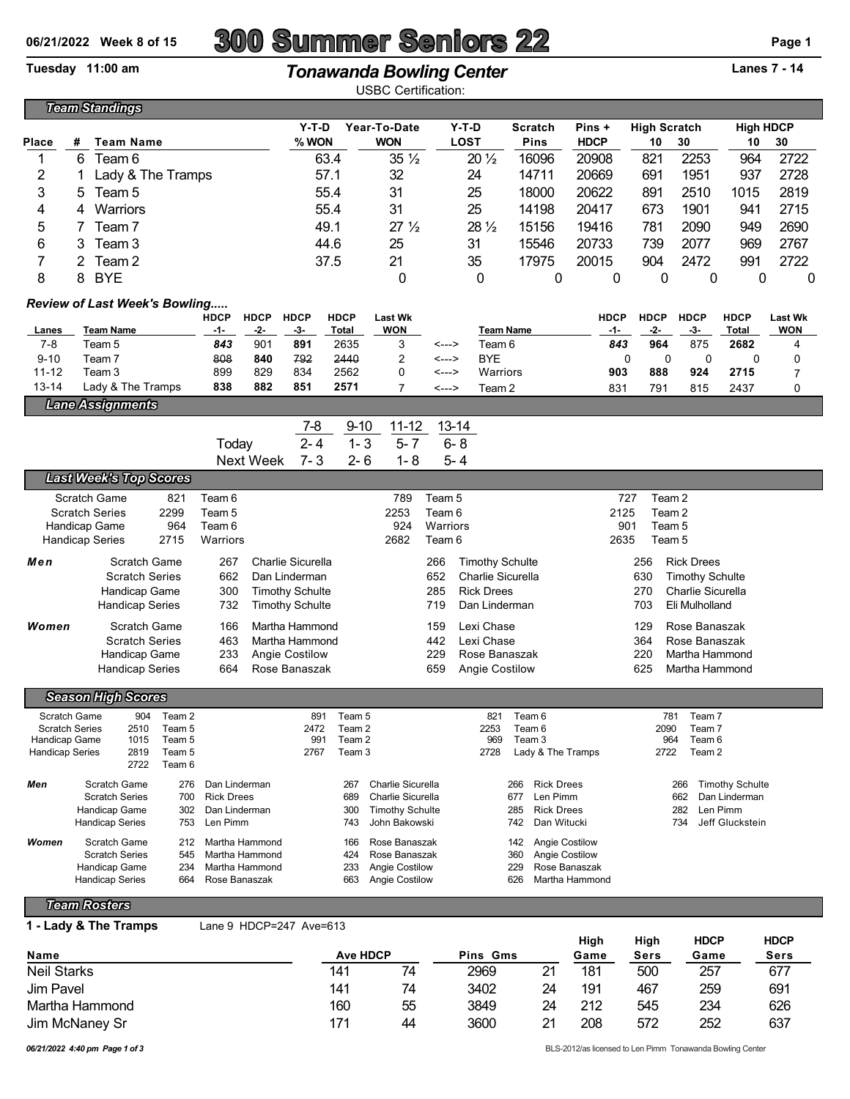## **06/21/2022 Week 8 of 15 300 Summer Seniors 22 Page 1**

## Tuesday 11:00 am *Tonawanda Bowling Center* **Lanes 7 - 14**

USBC Certification:

|                                                    |   | <b>Team Standings</b>                 |                  |                                  |                  |                                    |               | UUDU UUNIUQNUI.                |                    |                                        |                          |                                                |                          |                   |                        |                |  |
|----------------------------------------------------|---|---------------------------------------|------------------|----------------------------------|------------------|------------------------------------|---------------|--------------------------------|--------------------|----------------------------------------|--------------------------|------------------------------------------------|--------------------------|-------------------|------------------------|----------------|--|
|                                                    |   |                                       |                  |                                  |                  | $Y-T-D$                            |               | Year-To-Date                   |                    | $Y-T-D$                                | <b>Scratch</b>           | Pins +                                         | <b>High Scratch</b>      |                   | <b>High HDCP</b>       |                |  |
| Place                                              | # | <b>Team Name</b>                      |                  |                                  |                  | % WON                              |               | <b>WON</b>                     |                    | <b>LOST</b>                            | Pins                     | <b>HDCP</b>                                    | 10                       | 30                | 10                     | 30             |  |
| 1                                                  | 6 | Team 6                                |                  |                                  |                  |                                    | 63.4          | $35\frac{1}{2}$                |                    | $20\frac{1}{2}$                        | 16096                    | 20908                                          | 821                      | 2253              | 964                    | 2722           |  |
| 2                                                  | 1 | Lady & The Tramps                     |                  |                                  |                  |                                    | 57.1          | 32                             |                    | 24                                     | 14711                    | 20669                                          | 691                      | 1951              | 937                    | 2728           |  |
| 3                                                  | 5 | Team <sub>5</sub>                     |                  |                                  |                  |                                    | 55.4          | 31                             |                    | 25                                     | 18000                    | 20622                                          | 891                      | 2510              | 1015                   | 2819           |  |
| 4                                                  | 4 | Warriors                              |                  |                                  |                  |                                    | 55.4          | 31                             |                    | 25                                     | 14198                    | 20417                                          | 673                      | 1901              | 941                    | 2715           |  |
| 5                                                  | 7 | Team <sub>7</sub>                     |                  |                                  |                  |                                    | 49.1          | 27 <sub>2</sub>                |                    | 28 $\frac{1}{2}$                       | 15156                    | 19416                                          | 781                      | 2090              | 949                    | 2690           |  |
| 6                                                  | 3 | Team 3                                |                  |                                  |                  |                                    | 44.6          | 25                             |                    | 31                                     | 15546                    | 20733                                          | 739                      | 2077              | 969                    | 2767           |  |
| 7                                                  | 2 | Team <sub>2</sub>                     |                  |                                  |                  |                                    | 37.5          | 21                             |                    | 35                                     | 17975                    | 20015                                          | 904                      | 2472              | 991                    | 2722           |  |
| 8<br><b>BYE</b><br>0<br>0<br>0<br>8<br>0<br>0<br>0 |   |                                       |                  |                                  |                  |                                    |               |                                | 0                  | 0                                      |                          |                                                |                          |                   |                        |                |  |
| <b>Review of Last Week's Bowling</b>               |   |                                       |                  |                                  |                  |                                    |               |                                |                    |                                        |                          |                                                |                          |                   |                        |                |  |
|                                                    |   |                                       |                  | <b>HDCP</b>                      | <b>HDCP</b>      | <b>HDCP</b>                        | <b>HDCP</b>   | <b>Last Wk</b>                 |                    |                                        |                          | <b>HDCP</b>                                    | <b>HDCP</b>              | <b>HDCP</b>       | <b>HDCP</b>            | <b>Last Wk</b> |  |
| Lanes<br>$7 - 8$                                   |   | <b>Team Name</b><br>Team 5            |                  | $-1-$<br>843                     | -2-<br>901       | -3-<br>891                         | Total<br>2635 | <b>WON</b><br>3                | <--->              | Team 6                                 | <b>Team Name</b>         | -1-<br>843                                     | -2-<br>964               | -3-<br>875        | Total<br>2682          | <b>WON</b>     |  |
| $9 - 10$                                           |   | Team <sub>7</sub>                     |                  | 808                              | 840              | 792                                | 2440          | $\overline{c}$                 | <--->              | <b>BYE</b>                             |                          |                                                | 0<br>0                   | 0                 | 0                      | 4<br>0         |  |
| $11 - 12$                                          |   | Team 3                                |                  | 899                              | 829              | 834                                | 2562          | 0                              | <--->              | Warriors                               |                          | 903                                            | 888                      | 924               | 2715                   | $\overline{7}$ |  |
| $13 - 14$                                          |   | Lady & The Tramps                     |                  | 838                              | 882              | 851                                | 2571          | $\overline{7}$                 | <--->              | Team 2                                 |                          | 831                                            | 791                      | 815               | 2437                   | 0              |  |
|                                                    |   | <b>Lane Assignments</b>               |                  |                                  |                  |                                    |               |                                |                    |                                        |                          |                                                |                          |                   |                        |                |  |
|                                                    |   |                                       |                  |                                  |                  | $7-8$                              | $9 - 10$      | $11 - 12$                      |                    | $13 - 14$                              |                          |                                                |                          |                   |                        |                |  |
|                                                    |   |                                       |                  | Today                            |                  | $2 - 4$                            | $1 - 3$       | $5 - 7$                        |                    | $6 - 8$                                |                          |                                                |                          |                   |                        |                |  |
|                                                    |   |                                       |                  |                                  | <b>Next Week</b> | $7 - 3$                            | $2 - 6$       | $1 - 8$                        |                    | $5 - 4$                                |                          |                                                |                          |                   |                        |                |  |
|                                                    |   | <b>Last Week's Top Scores</b>         |                  |                                  |                  |                                    |               |                                |                    |                                        |                          |                                                |                          |                   |                        |                |  |
|                                                    |   | Scratch Game                          | 821              | Team 6                           |                  |                                    |               | 789                            | Team <sub>5</sub>  |                                        |                          |                                                | Team <sub>2</sub><br>727 |                   |                        |                |  |
|                                                    |   | <b>Scratch Series</b>                 | 2299             | Team <sub>5</sub>                |                  |                                    |               | 2253                           | Team 6             |                                        |                          | 2125                                           | Team <sub>2</sub>        |                   |                        |                |  |
|                                                    |   | Handicap Game<br>Handicap Series      | 964<br>2715      | Team 6<br>Warriors               |                  |                                    |               | 924<br>2682                    | Warriors<br>Team 6 |                                        |                          | 2635                                           | 901<br>Team 5<br>Team 5  |                   |                        |                |  |
|                                                    |   |                                       |                  |                                  |                  |                                    |               |                                |                    |                                        |                          |                                                |                          |                   |                        |                |  |
| Men                                                |   | Scratch Game<br><b>Scratch Series</b> |                  | 267<br>662                       |                  | Charlie Sicurella<br>Dan Linderman |               |                                | 266<br>652         | <b>Timothy Schulte</b>                 |                          |                                                | 256<br>630               | <b>Rick Drees</b> |                        |                |  |
|                                                    |   | Handicap Game                         |                  | 300                              |                  | <b>Timothy Schulte</b>             |               |                                | 285                | Charlie Sicurella<br><b>Rick Drees</b> |                          |                                                | 270                      | Charlie Sicurella | <b>Timothy Schulte</b> |                |  |
|                                                    |   | <b>Handicap Series</b>                |                  | 732                              |                  | <b>Timothy Schulte</b>             |               |                                | 719                | Dan Linderman                          |                          |                                                | 703                      | Eli Mulholland    |                        |                |  |
| Women                                              |   | Scratch Game                          |                  | 166                              |                  | Martha Hammond                     |               |                                | 159                | Lexi Chase                             |                          |                                                | 129                      | Rose Banaszak     |                        |                |  |
|                                                    |   | <b>Scratch Series</b>                 |                  | 463                              |                  | Martha Hammond                     |               |                                | 442                | Lexi Chase                             |                          |                                                | 364                      | Rose Banaszak     |                        |                |  |
|                                                    |   | Handicap Game                         |                  | 233                              |                  | Angie Costilow                     |               |                                | 229                | Rose Banaszak                          |                          |                                                | 220                      | Martha Hammond    |                        |                |  |
|                                                    |   | <b>Handicap Series</b>                |                  | 664                              |                  | Rose Banaszak                      |               |                                | 659                | Angie Costilow                         |                          |                                                | 625                      | Martha Hammond    |                        |                |  |
|                                                    |   | <b>Season High Scores</b>             |                  |                                  |                  |                                    |               |                                |                    |                                        |                          |                                                |                          |                   |                        |                |  |
| Scratch Game                                       |   | 904                                   | Team 2           |                                  |                  |                                    | 891 Team 5    |                                |                    |                                        | 821 Team 6               |                                                |                          | 781 Team 7        |                        |                |  |
| <b>Scratch Series</b>                              |   | 2510                                  | Team 5           |                                  |                  | 2472                               | Team 2        |                                |                    | 2253                                   | Team 6                   |                                                | 2090                     | Team 7            |                        |                |  |
| Handicap Game                                      |   | 1015                                  | Team 5           |                                  |                  | 991                                | Team 2        |                                |                    | 969                                    | Team 3                   |                                                | 964                      | Team 6            |                        |                |  |
| <b>Handicap Series</b>                             |   | 2819<br>2722                          | Team 5<br>Team 6 |                                  |                  | 2767                               | Team 3        |                                |                    | 2728                                   | Lady & The Tramps        |                                                | 2722                     | Team 2            |                        |                |  |
| Men                                                |   | Scratch Game                          | 276              | Dan Linderman                    |                  |                                    | 267           | Charlie Sicurella              |                    |                                        | <b>Rick Drees</b><br>266 |                                                |                          | 266               | <b>Timothy Schulte</b> |                |  |
|                                                    |   | <b>Scratch Series</b>                 | 700              | <b>Rick Drees</b>                |                  |                                    | 689           | Charlie Sicurella              |                    |                                        | Len Pimm<br>677          |                                                |                          | 662               | Dan Linderman          |                |  |
|                                                    |   | Handicap Game                         | 302              | Dan Linderman                    |                  |                                    | 300           | <b>Timothy Schulte</b>         |                    |                                        | <b>Rick Drees</b><br>285 |                                                |                          | 282               | Len Pimm               |                |  |
|                                                    |   | <b>Handicap Series</b>                | 753              | Len Pimm                         |                  |                                    | 743           | John Bakowski                  |                    |                                        | Dan Witucki<br>742       |                                                |                          | 734               | Jeff Gluckstein        |                |  |
| Women                                              |   | Scratch Game<br><b>Scratch Series</b> | 212<br>545       | Martha Hammond<br>Martha Hammond |                  |                                    | 166<br>424    | Rose Banaszak<br>Rose Banaszak |                    |                                        | 142<br>360               | <b>Angie Costilow</b><br><b>Angie Costilow</b> |                          |                   |                        |                |  |
|                                                    |   | Handicap Game                         | 234              | Martha Hammond                   |                  |                                    | 233           | <b>Angie Costilow</b>          |                    |                                        | 229                      | Rose Banaszak                                  |                          |                   |                        |                |  |
|                                                    |   | Handicap Series                       | 664              | Rose Banaszak                    |                  |                                    | 663           | <b>Angie Costilow</b>          |                    |                                        | 626                      | Martha Hammond                                 |                          |                   |                        |                |  |
|                                                    |   |                                       |                  |                                  |                  |                                    |               |                                |                    |                                        |                          |                                                |                          |                   |                        |                |  |

*Team Rosters*

**1 - Lady & The Tramps** Lane 9 HDCP=247 Ave=613

|                    |                 |    |          |    | High | High | <b>HDCP</b> | <b>HDCP</b> |
|--------------------|-----------------|----|----------|----|------|------|-------------|-------------|
| Name               | <b>Ave HDCP</b> |    | Pins Gms |    | Game | Sers | Game        | Sers        |
| <b>Neil Starks</b> | 141             | 74 | 2969     | 21 | 181  | 500  | 257         | 677         |
| Jim Pavel          | 141             | 74 | 3402     | 24 | 191  | 467  | 259         | 691         |
| Martha Hammond     | 160             | 55 | 3849     | 24 | 212  | 545  | 234         | 626         |
| Jim McNaney Sr     | 171             | 44 | 3600     | 21 | 208  | 572  | 252         | 637         |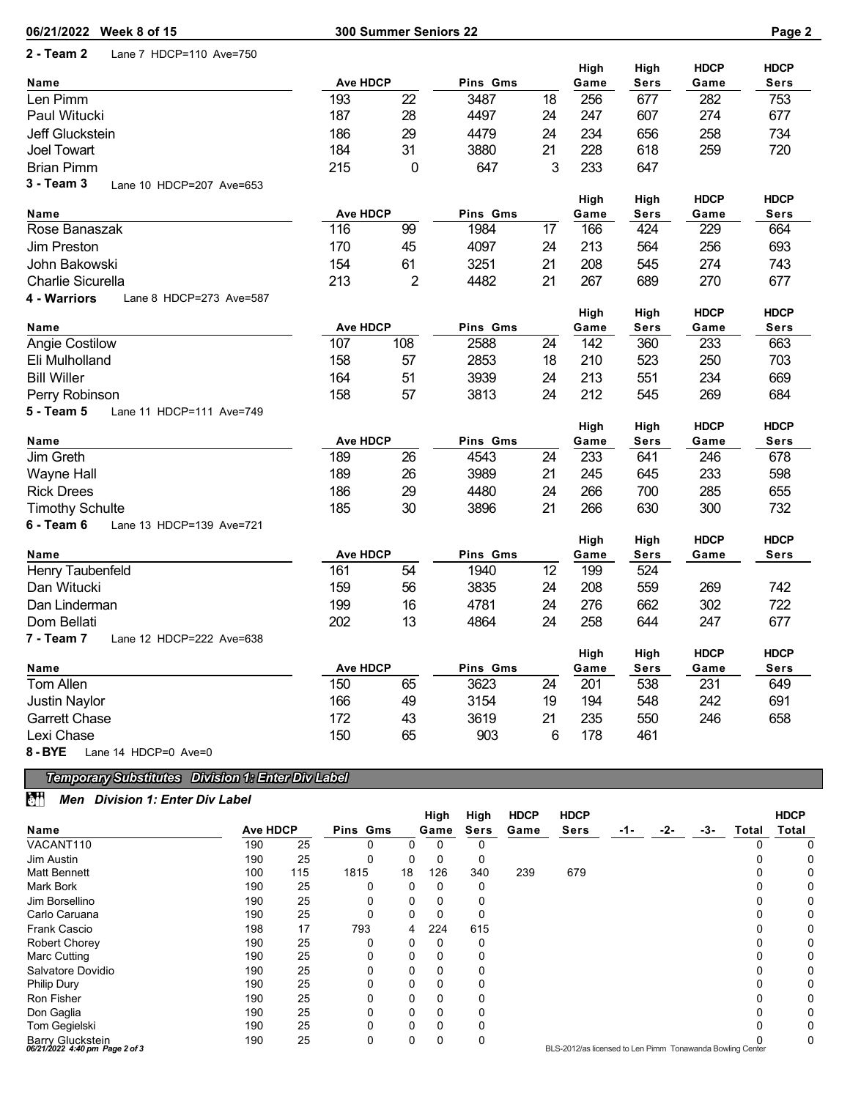| 06/21/2022 Week 8 of 15                    |                        | 300 Summer Seniors 22 |                  |          |              |                     |                     | Page 2                     |
|--------------------------------------------|------------------------|-----------------------|------------------|----------|--------------|---------------------|---------------------|----------------------------|
| 2 - Team 2<br>Lane 7 HDCP=110 Ave=750      |                        |                       |                  |          |              |                     |                     |                            |
| Name                                       | <b>Ave HDCP</b>        |                       | Pins Gms         |          | High<br>Game | High<br><b>Sers</b> | <b>HDCP</b><br>Game | <b>HDCP</b><br><b>Sers</b> |
| Len Pimm                                   | 193                    | 22                    | 3487             | 18       | 256          | 677                 | 282                 | 753                        |
| Paul Witucki                               | 187                    | 28                    | 4497             | 24       | 247          | 607                 | 274                 | 677                        |
| Jeff Gluckstein                            | 186                    | 29                    | 4479             | 24       | 234          | 656                 | 258                 | 734                        |
| Joel Towart                                | 184                    | 31                    | 3880             | 21       | 228          | 618                 | 259                 | 720                        |
| <b>Brian Pimm</b>                          | 215                    | 0                     | 647              | 3        | 233          | 647                 |                     |                            |
| 3 - Team 3<br>Lane 10 HDCP=207 Ave=653     |                        |                       |                  |          |              |                     |                     |                            |
|                                            |                        |                       |                  |          | High         | High                | <b>HDCP</b>         | <b>HDCP</b>                |
| Name                                       | <b>Ave HDCP</b>        |                       | Pins Gms         |          | Game         | <b>Sers</b>         | Game                | <b>Sers</b>                |
| Rose Banaszak                              | 116                    | 99                    | 1984             | 17       | 166          | 424                 | 229                 | 664                        |
| Jim Preston                                | 170                    | 45                    | 4097             | 24       | 213          | 564                 | 256                 | 693                        |
| John Bakowski                              | 154                    | 61                    | 3251             | 21       | 208          | 545                 | 274                 | 743                        |
| Charlie Sicurella                          | 213                    | 2                     | 4482             | 21       | 267          | 689                 | 270                 | 677                        |
| 4 - Warriors<br>Lane 8 HDCP=273 Ave=587    |                        |                       |                  |          |              |                     |                     |                            |
|                                            |                        |                       |                  |          | High         | High                | <b>HDCP</b>         | <b>HDCP</b>                |
| Name                                       | <b>Ave HDCP</b>        | 108                   | Pins Gms<br>2588 |          | Game         | <b>Sers</b>         | Game                | <b>Sers</b>                |
| <b>Angie Costilow</b><br>Eli Mulholland    | 107<br>158             | 57                    | 2853             | 24<br>18 | 142          | 360<br>523          | 233<br>250          | 663<br>703                 |
|                                            |                        |                       |                  |          | 210          |                     |                     |                            |
| <b>Bill Willer</b>                         | 164<br>158             | 51<br>57              | 3939             | 24<br>24 | 213<br>212   | 551<br>545          | 234<br>269          | 669<br>684                 |
| Perry Robinson<br>Lane 11 HDCP=111 Ave=749 |                        |                       | 3813             |          |              |                     |                     |                            |
| 5 - Team 5                                 |                        |                       |                  |          | High         | High                | <b>HDCP</b>         | <b>HDCP</b>                |
| Name                                       | <b>Ave HDCP</b>        |                       | Pins Gms         |          | Game         | <b>Sers</b>         | Game                | <b>Sers</b>                |
| Jim Greth                                  | 189                    | 26                    | 4543             | 24       | 233          | 641                 | 246                 | 678                        |
| <b>Wayne Hall</b>                          | 189                    | 26                    | 3989             | 21       | 245          | 645                 | 233                 | 598                        |
| <b>Rick Drees</b>                          | 186                    | 29                    | 4480             | 24       | 266          | 700                 | 285                 | 655                        |
| <b>Timothy Schulte</b>                     | 185                    | 30                    | 3896             | 21       | 266          | 630                 | 300                 | 732                        |
| 6 - Team 6<br>Lane 13 HDCP=139 Ave=721     |                        |                       |                  |          |              |                     |                     |                            |
|                                            |                        |                       |                  |          | High         | High                | <b>HDCP</b>         | <b>HDCP</b>                |
| Name                                       | <b>Ave HDCP</b>        |                       | Pins Gms         |          | Game         | <b>Sers</b>         | Game                | <b>Sers</b>                |
| Henry Taubenfeld                           | 161                    | 54                    | 1940             | 12       | 199          | 524                 |                     |                            |
| Dan Witucki                                | 159                    | 56                    | 3835             | 24       | 208          | 559                 | 269                 | 742                        |
| Dan Linderman                              | 199                    | 16                    | 4781             | 24       | 276          | 662                 | 302                 | 722                        |
| Dom Bellati                                | 202                    | 13                    | 4864             | 24       | 258          | 644                 | 247                 | 677                        |
| 7 - Team 7<br>Lane 12 HDCP=222 Ave=638     |                        |                       |                  |          |              |                     |                     |                            |
|                                            |                        |                       |                  |          | High         | High                | <b>HDCP</b>         | <b>HDCP</b>                |
| Name<br>Tom Allen                          | <b>Ave HDCP</b><br>150 | 65                    | Pins Gms<br>3623 | 24       | Game<br>201  | <b>Sers</b><br>538  | Game<br>231         | <b>Sers</b><br>649         |
| Justin Naylor                              | 166                    | 49                    | 3154             | 19       | 194          | 548                 | 242                 | 691                        |
| <b>Garrett Chase</b>                       | 172                    | 43                    | 3619             | 21       | 235          | 550                 | 246                 | 658                        |
| Lexi Chase                                 | 150                    | 65                    | 903              | 6        | 178          | 461                 |                     |                            |
| $8 - BYE$<br>Lane 14 HDCP=0 Ave=0          |                        |                       |                  |          |              |                     |                     |                            |
|                                            |                        |                       |                  |          |              |                     |                     |                            |

## *Temporary Substitutes Division 1: Enter Div Label*

## *Men Division 1: Enter Div Label*

|                                                    |                 |     |          |    | High | High        | <b>HDCP</b> | <b>HDCP</b>                                               |     |     |     |       | <b>HDCP</b>  |
|----------------------------------------------------|-----------------|-----|----------|----|------|-------------|-------------|-----------------------------------------------------------|-----|-----|-----|-------|--------------|
| Name                                               | <b>Ave HDCP</b> |     | Pins Gms |    | Game | <b>Sers</b> | Game        | <b>Sers</b>                                               | -1- | -2- | -3- | Total | <b>Total</b> |
| VACANT110                                          | 190             | 25  | 0        |    | Ω    |             |             |                                                           |     |     |     |       |              |
| Jim Austin                                         | 190             | 25  | 0        | 0  | 0    | 0           |             |                                                           |     |     |     |       | 0            |
| <b>Matt Bennett</b>                                | 100             | 115 | 1815     | 18 | 126  | 340         | 239         | 679                                                       |     |     |     |       |              |
| Mark Bork                                          | 190             | 25  | 0        | 0  |      |             |             |                                                           |     |     |     |       | 0            |
| Jim Borsellino                                     | 190             | 25  | 0        | 0  |      |             |             |                                                           |     |     |     |       | 0            |
| Carlo Caruana                                      | 190             | 25  | 0        | 0  |      | 0           |             |                                                           |     |     |     |       | 0            |
| Frank Cascio                                       | 198             | 17  | 793      | 4  | 224  | 615         |             |                                                           |     |     |     |       | 0            |
| <b>Robert Chorey</b>                               | 190             | 25  | 0        | 0  |      |             |             |                                                           |     |     |     |       |              |
| Marc Cutting                                       | 190             | 25  | 0        | 0  |      |             |             |                                                           |     |     |     |       |              |
| Salvatore Dovidio                                  | 190             | 25  | 0        | 0  |      |             |             |                                                           |     |     |     |       |              |
| Philip Dury                                        | 190             | 25  | 0        | 0  |      |             |             |                                                           |     |     |     |       | 0            |
| Ron Fisher                                         | 190             | 25  | 0        | 0  |      |             |             |                                                           |     |     |     |       | 0            |
| Don Gaglia                                         | 190             | 25  |          | 0  |      |             |             |                                                           |     |     |     |       |              |
| Tom Gegielski                                      | 190             | 25  | 0        | 0  |      |             |             |                                                           |     |     |     |       |              |
| Barry Gluckstein<br>06/21/2022 4:40 pm Page 2 of 3 | 190             | 25  | 0        | 0  | 0    | 0           |             | BLS-2012/as licensed to Len Pimm Tonawanda Bowling Center |     |     |     |       | 0            |